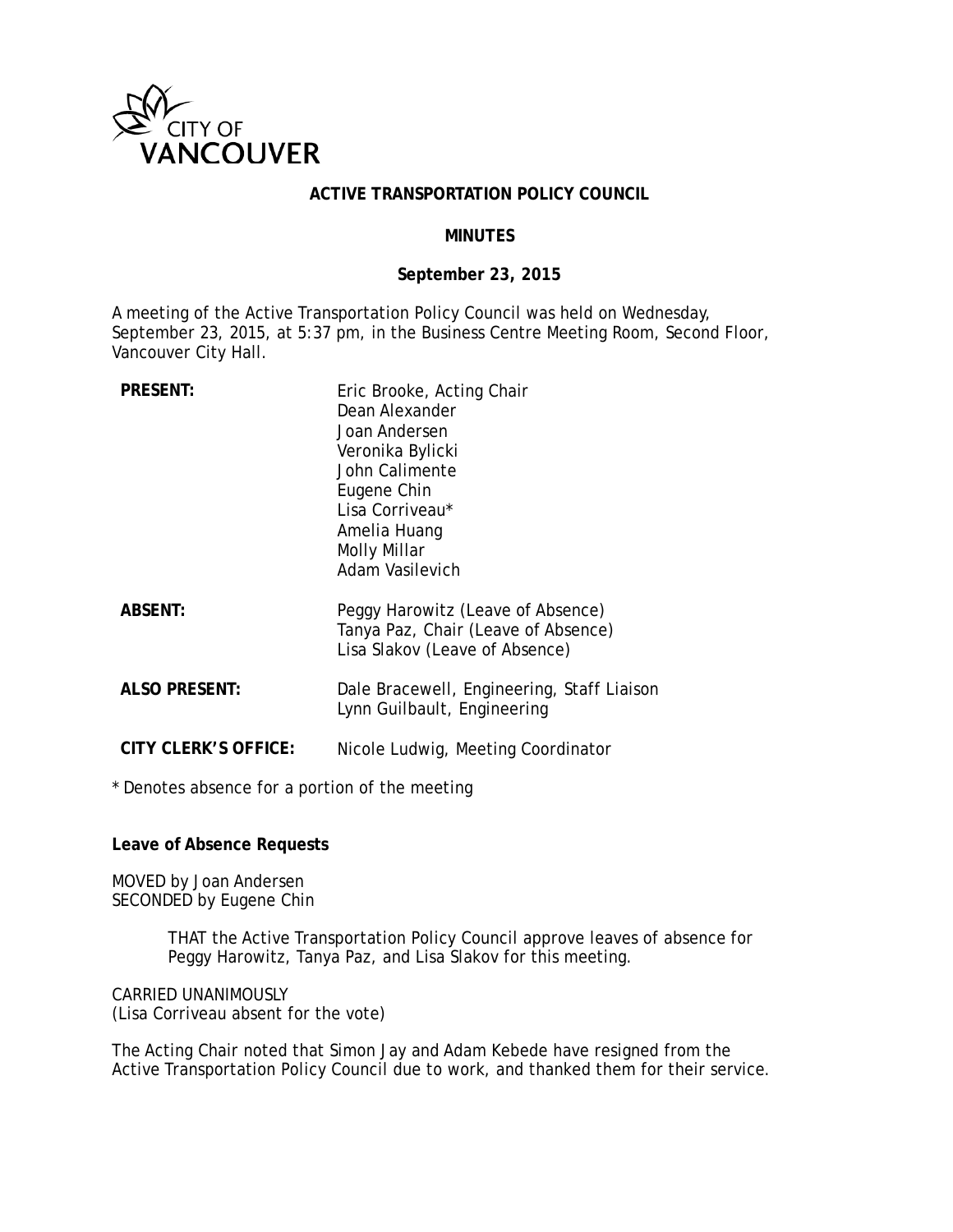

## **ACTIVE TRANSPORTATION POLICY COUNCIL**

## **MINUTES**

## **September 23, 2015**

A meeting of the Active Transportation Policy Council was held on Wednesday, September 23, 2015, at 5:37 pm, in the Business Centre Meeting Room, Second Floor, Vancouver City Hall.

| <b>PRESENT:</b>      | Eric Brooke, Acting Chair<br>Dean Alexander<br>Joan Andersen<br>Veronika Bylicki<br>John Calimente<br>Eugene Chin<br>Lisa Corriveau*<br>Amelia Huang<br>Molly Millar<br><b>Adam Vasilevich</b> |
|----------------------|------------------------------------------------------------------------------------------------------------------------------------------------------------------------------------------------|
| <b>ABSENT:</b>       | Peggy Harowitz (Leave of Absence)<br>Tanya Paz, Chair (Leave of Absence)<br>Lisa Slakov (Leave of Absence)                                                                                     |
| <b>ALSO PRESENT:</b> | Dale Bracewell, Engineering, Staff Liaison<br>Lynn Guilbault, Engineering                                                                                                                      |

**CITY CLERK'S OFFICE:** Nicole Ludwig, Meeting Coordinator

\* Denotes absence for a portion of the meeting

**Leave of Absence Requests**

MOVED by Joan Andersen SECONDED by Eugene Chin

> THAT the Active Transportation Policy Council approve leaves of absence for Peggy Harowitz, Tanya Paz, and Lisa Slakov for this meeting.

CARRIED UNANIMOUSLY (Lisa Corriveau absent for the vote)

The Acting Chair noted that Simon Jay and Adam Kebede have resigned from the Active Transportation Policy Council due to work, and thanked them for their service.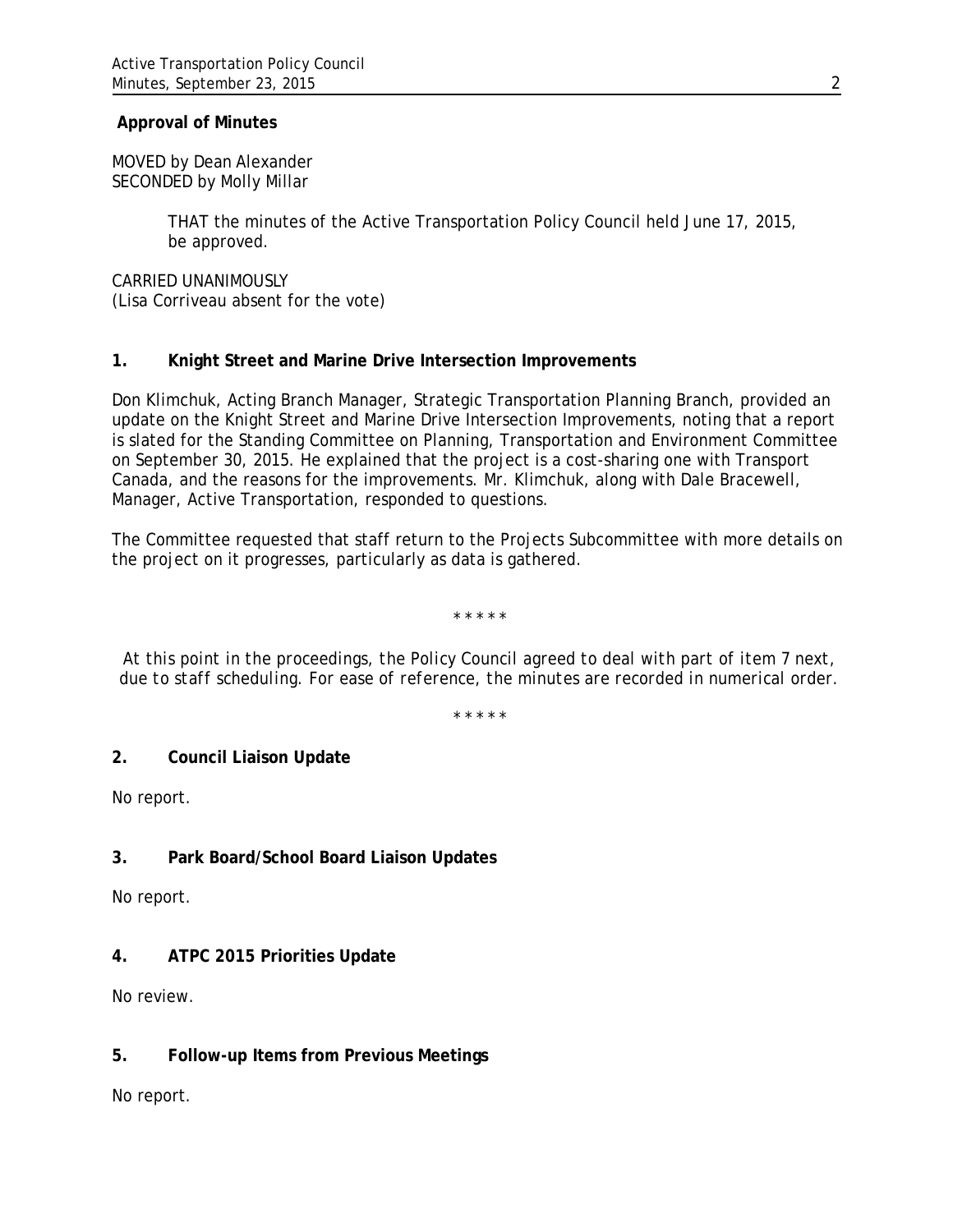## **Approval of Minutes**

MOVED by Dean Alexander SECONDED by Molly Millar

> THAT the minutes of the Active Transportation Policy Council held June 17, 2015, be approved.

CARRIED UNANIMOUSLY (Lisa Corriveau absent for the vote)

# **1. Knight Street and Marine Drive Intersection Improvements**

Don Klimchuk, Acting Branch Manager, Strategic Transportation Planning Branch, provided an update on the Knight Street and Marine Drive Intersection Improvements, noting that a report is slated for the Standing Committee on Planning, Transportation and Environment Committee on September 30, 2015. He explained that the project is a cost-sharing one with Transport Canada, and the reasons for the improvements. Mr. Klimchuk, along with Dale Bracewell, Manager, Active Transportation, responded to questions.

The Committee requested that staff return to the Projects Subcommittee with more details on the project on it progresses, particularly as data is gathered.

*\* \* \* \* \**

*At this point in the proceedings, the Policy Council agreed to deal with part of item 7 next, due to staff scheduling. For ease of reference, the minutes are recorded in numerical order.*

*\* \* \* \* \**

# **2. Council Liaison Update**

No report.

# **3. Park Board/School Board Liaison Updates**

No report.

# **4. ATPC 2015 Priorities Update**

No review.

# **5. Follow-up Items from Previous Meetings**

No report.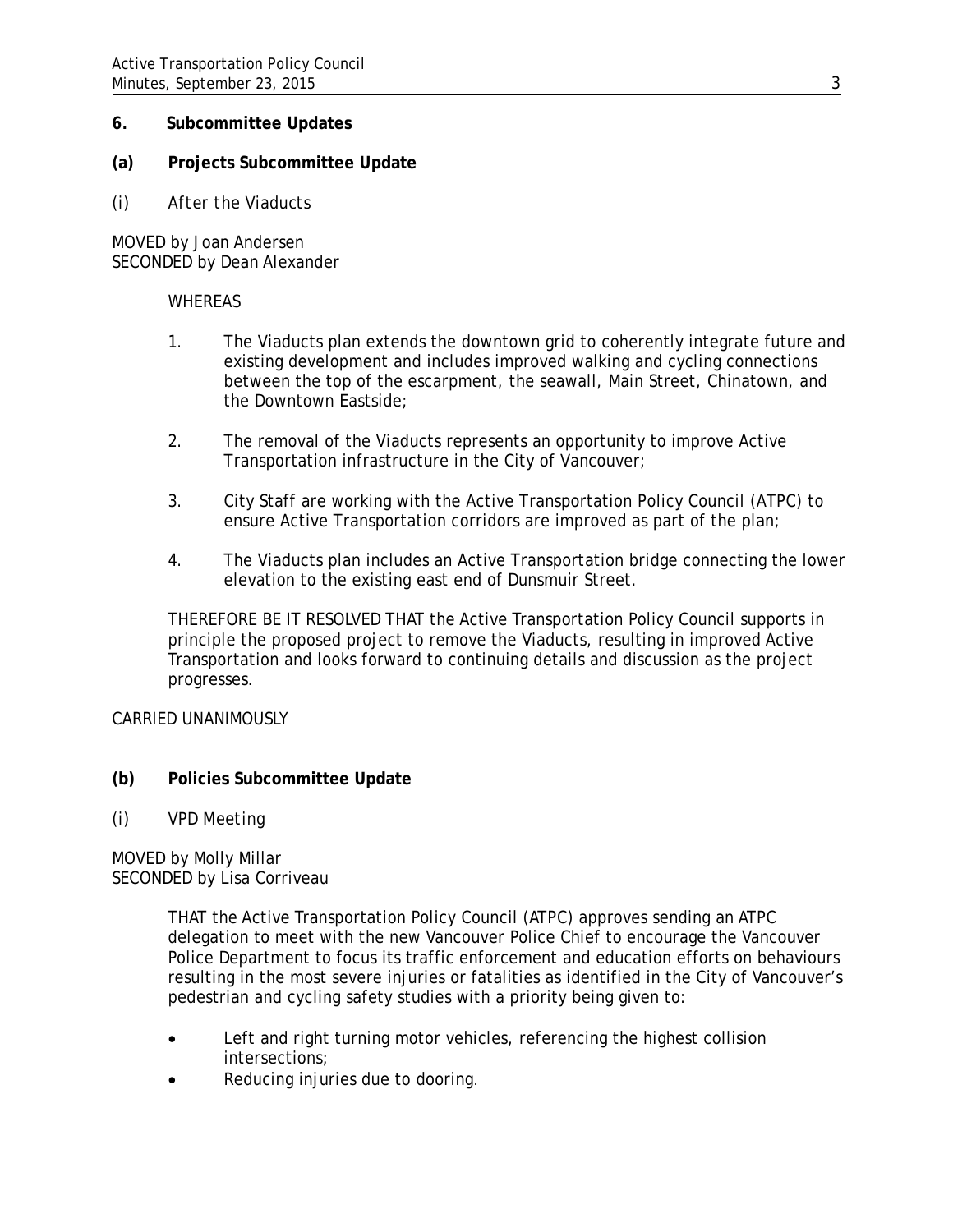## **6. Subcommittee Updates**

# **(a) Projects Subcommittee Update**

*(i) After the Viaducts* 

MOVED by Joan Andersen SECONDED by Dean Alexander

#### **WHEREAS**

- 1. The Viaducts plan extends the downtown grid to coherently integrate future and existing development and includes improved walking and cycling connections between the top of the escarpment, the seawall, Main Street, Chinatown, and the Downtown Eastside;
- 2. The removal of the Viaducts represents an opportunity to improve Active Transportation infrastructure in the City of Vancouver;
- 3. City Staff are working with the Active Transportation Policy Council (ATPC) to ensure Active Transportation corridors are improved as part of the plan;
- 4. The Viaducts plan includes an Active Transportation bridge connecting the lower elevation to the existing east end of Dunsmuir Street.

THEREFORE BE IT RESOLVED THAT the Active Transportation Policy Council supports in principle the proposed project to remove the Viaducts, resulting in improved Active Transportation and looks forward to continuing details and discussion as the project progresses.

CARRIED UNANIMOUSLY

- **(b) Policies Subcommittee Update**
- *(i) VPD Meeting*

# MOVED by Molly Millar SECONDED by Lisa Corriveau

THAT the Active Transportation Policy Council (ATPC) approves sending an ATPC delegation to meet with the new Vancouver Police Chief to encourage the Vancouver Police Department to focus its traffic enforcement and education efforts on behaviours resulting in the most severe injuries or fatalities as identified in the City of Vancouver's pedestrian and cycling safety studies with a priority being given to:

- Left and right turning motor vehicles, referencing the highest collision intersections;
- Reducing injuries due to dooring.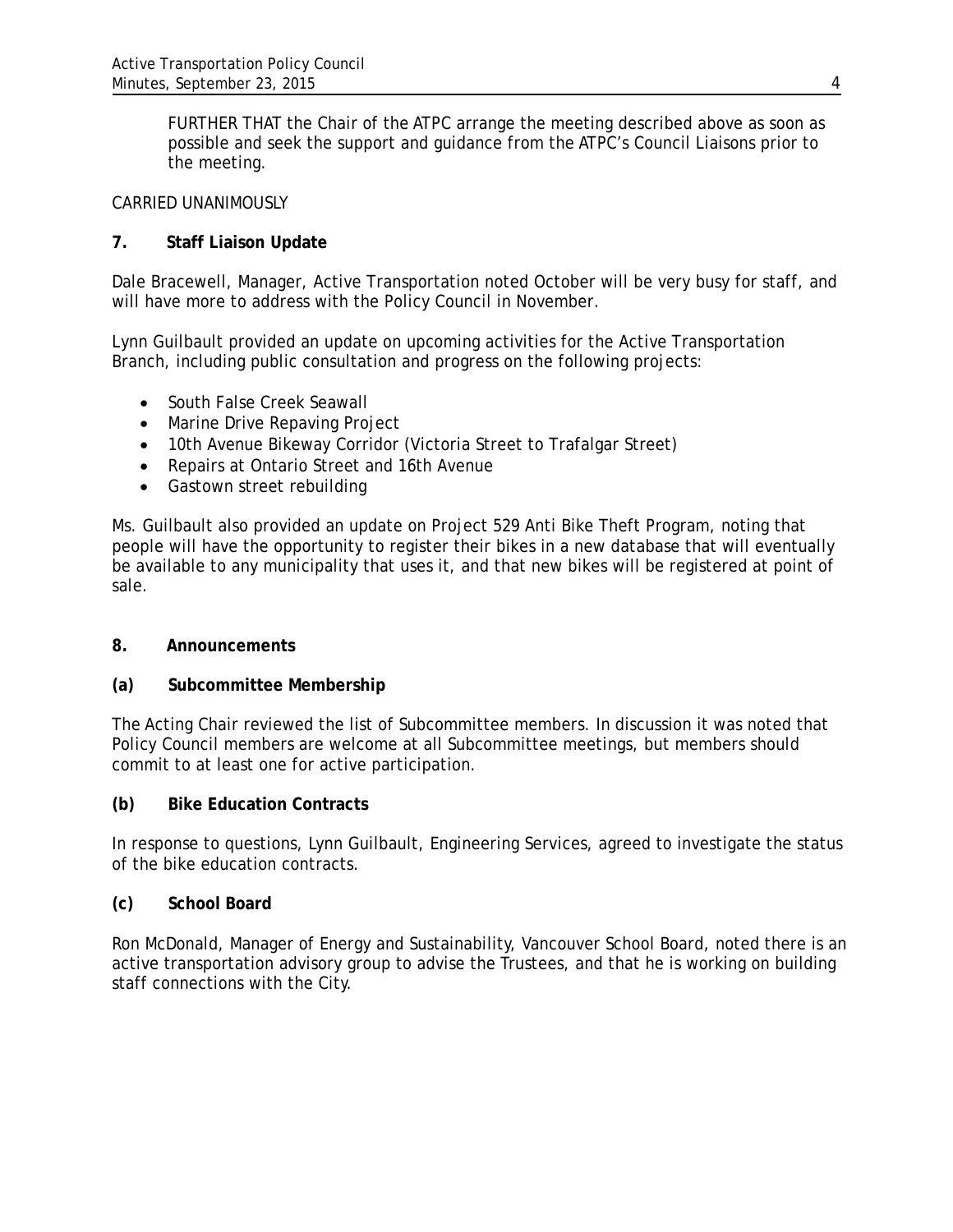FURTHER THAT the Chair of the ATPC arrange the meeting described above as soon as possible and seek the support and guidance from the ATPC's Council Liaisons prior to the meeting.

## CARRIED UNANIMOUSLY

# **7. Staff Liaison Update**

Dale Bracewell, Manager, Active Transportation noted October will be very busy for staff, and will have more to address with the Policy Council in November.

Lynn Guilbault provided an update on upcoming activities for the Active Transportation Branch, including public consultation and progress on the following projects:

- South False Creek Seawall
- Marine Drive Repaving Project
- 10th Avenue Bikeway Corridor (Victoria Street to Trafalgar Street)
- Repairs at Ontario Street and 16th Avenue
- Gastown street rebuilding

Ms. Guilbault also provided an update on Project 529 Anti Bike Theft Program, noting that people will have the opportunity to register their bikes in a new database that will eventually be available to any municipality that uses it, and that new bikes will be registered at point of sale.

# **8. Announcements**

# **(a) Subcommittee Membership**

The Acting Chair reviewed the list of Subcommittee members. In discussion it was noted that Policy Council members are welcome at all Subcommittee meetings, but members should commit to at least one for active participation.

# **(b) Bike Education Contracts**

In response to questions, Lynn Guilbault, Engineering Services, agreed to investigate the status of the bike education contracts.

# **(c) School Board**

Ron McDonald, Manager of Energy and Sustainability, Vancouver School Board, noted there is an active transportation advisory group to advise the Trustees, and that he is working on building staff connections with the City.